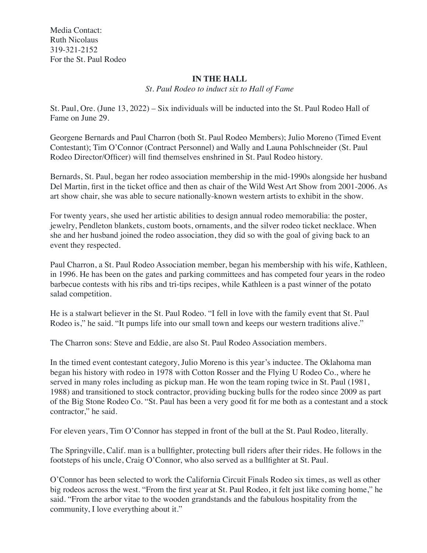Media Contact: Ruth Nicolaus 319-321-2152 For the St. Paul Rodeo

## **IN THE HALL**

*St. Paul Rodeo to induct six to Hall of Fame* 

St. Paul, Ore. (June 13, 2022) – Six individuals will be inducted into the St. Paul Rodeo Hall of Fame on June 29.

Georgene Bernards and Paul Charron (both St. Paul Rodeo Members); Julio Moreno (Timed Event Contestant); Tim O'Connor (Contract Personnel) and Wally and Launa Pohlschneider (St. Paul Rodeo Director/Officer) will find themselves enshrined in St. Paul Rodeo history.

Bernards, St. Paul, began her rodeo association membership in the mid-1990s alongside her husband Del Martin, first in the ticket office and then as chair of the Wild West Art Show from 2001-2006. As art show chair, she was able to secure nationally-known western artists to exhibit in the show.

For twenty years, she used her artistic abilities to design annual rodeo memorabilia: the poster, jewelry, Pendleton blankets, custom boots, ornaments, and the silver rodeo ticket necklace. When she and her husband joined the rodeo association, they did so with the goal of giving back to an event they respected.

Paul Charron, a St. Paul Rodeo Association member, began his membership with his wife, Kathleen, in 1996. He has been on the gates and parking committees and has competed four years in the rodeo barbecue contests with his ribs and tri-tips recipes, while Kathleen is a past winner of the potato salad competition.

He is a stalwart believer in the St. Paul Rodeo. "I fell in love with the family event that St. Paul Rodeo is," he said. "It pumps life into our small town and keeps our western traditions alive."

The Charron sons: Steve and Eddie, are also St. Paul Rodeo Association members.

In the timed event contestant category, Julio Moreno is this year's inductee. The Oklahoma man began his history with rodeo in 1978 with Cotton Rosser and the Flying U Rodeo Co., where he served in many roles including as pickup man. He won the team roping twice in St. Paul (1981, 1988) and transitioned to stock contractor, providing bucking bulls for the rodeo since 2009 as part of the Big Stone Rodeo Co. "St. Paul has been a very good fit for me both as a contestant and a stock contractor," he said.

For eleven years, Tim O'Connor has stepped in front of the bull at the St. Paul Rodeo, literally.

The Springville, Calif. man is a bullfighter, protecting bull riders after their rides. He follows in the footsteps of his uncle, Craig O'Connor, who also served as a bullfighter at St. Paul.

O'Connor has been selected to work the California Circuit Finals Rodeo six times, as well as other big rodeos across the west. "From the first year at St. Paul Rodeo, it felt just like coming home," he said. "From the arbor vitae to the wooden grandstands and the fabulous hospitality from the community, I love everything about it."